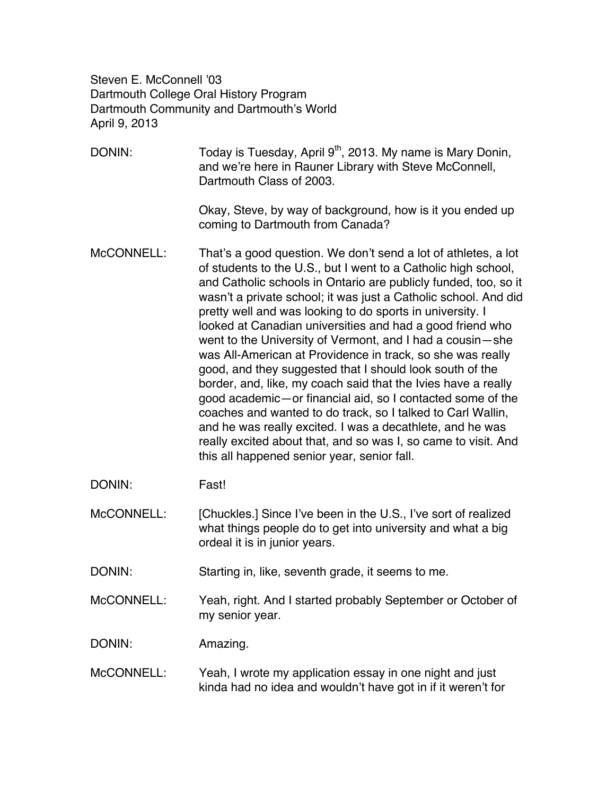Steven E. McConnell '03 Dartmouth College Oral History Program Dartmouth Community and Dartmouth's World April 9, 2013

- DONIN: Today is Tuesday, April 9<sup>th</sup>, 2013. My name is Mary Donin, and we're here in Rauner Library with Steve McConnell, Dartmouth Class of 2003. Okay, Steve, by way of background, how is it you ended up coming to Dartmouth from Canada? McCONNELL: That's a good question. We don't send a lot of athletes, a lot of students to the U.S., but I went to a Catholic high school, and Catholic schools in Ontario are publicly funded, too, so it wasn't a private school; it was just a Catholic school. And did pretty well and was looking to do sports in university. I looked at Canadian universities and had a good friend who went to the University of Vermont, and I had a cousin—she was All-American at Providence in track, so she was really good, and they suggested that I should look south of the border, and, like, my coach said that the Ivies have a really good academic—or financial aid, so I contacted some of the coaches and wanted to do track, so I talked to Carl Wallin, and he was really excited. I was a decathlete, and he was really excited about that, and so was I, so came to visit. And this all happened senior year, senior fall. DONIN: Fast!
- McCONNELL: [Chuckles.] Since I've been in the U.S., I've sort of realized what things people do to get into university and what a big ordeal it is in junior years.

DONIN: Starting in, like, seventh grade, it seems to me.

McCONNELL: Yeah, right. And I started probably September or October of my senior year.

DONIN: Amazing.

McCONNELL: Yeah, I wrote my application essay in one night and just kinda had no idea and wouldn't have got in if it weren't for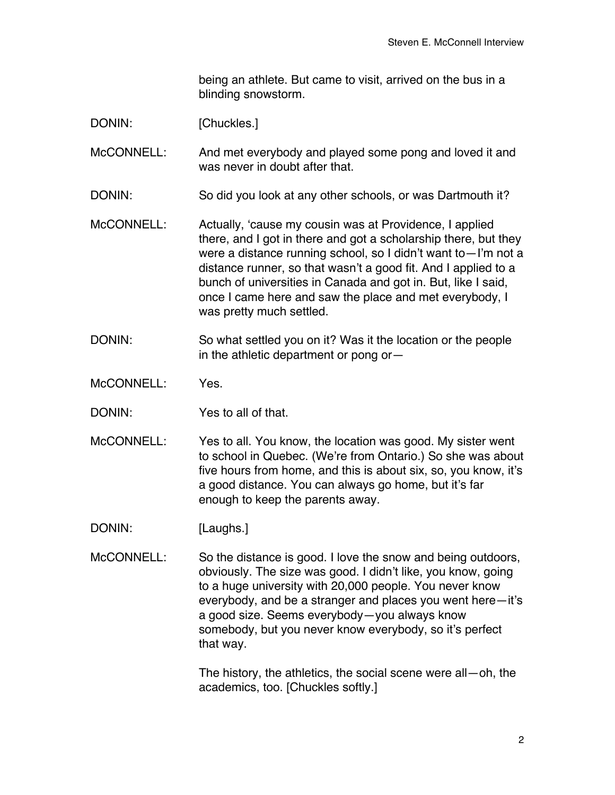being an athlete. But came to visit, arrived on the bus in a blinding snowstorm.

DONIN: [Chuckles.]

McCONNELL: And met everybody and played some pong and loved it and was never in doubt after that.

DONIN: So did you look at any other schools, or was Dartmouth it?

- McCONNELL: Actually, 'cause my cousin was at Providence, I applied there, and I got in there and got a scholarship there, but they were a distance running school, so I didn't want to—I'm not a distance runner, so that wasn't a good fit. And I applied to a bunch of universities in Canada and got in. But, like I said, once I came here and saw the place and met everybody, I was pretty much settled.
- DONIN: So what settled you on it? Was it the location or the people in the athletic department or pong or—

McCONNELL: Yes.

DONIN: Yes to all of that.

McCONNELL: Yes to all. You know, the location was good. My sister went to school in Quebec. (We're from Ontario.) So she was about five hours from home, and this is about six, so, you know, it's a good distance. You can always go home, but it's far enough to keep the parents away.

DONIN: [Laughs.]

McCONNELL: So the distance is good. I love the snow and being outdoors, obviously. The size was good. I didn't like, you know, going to a huge university with 20,000 people. You never know everybody, and be a stranger and places you went here—it's a good size. Seems everybody—you always know somebody, but you never know everybody, so it's perfect that way.

> The history, the athletics, the social scene were all—oh, the academics, too. [Chuckles softly.]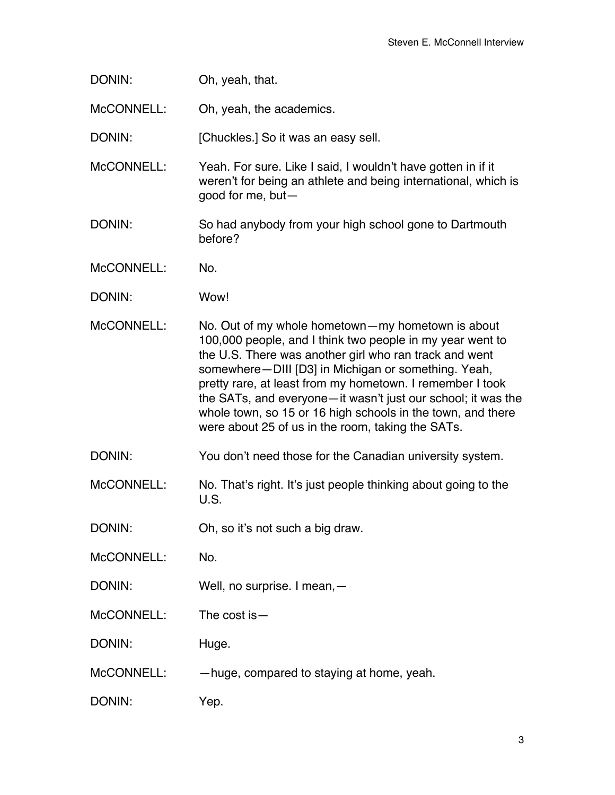| DONIN: | Oh, yeah, that. |
|--------|-----------------|
|--------|-----------------|

McCONNELL: Oh, yeah, the academics.

DONIN: [Chuckles.] So it was an easy sell.

McCONNELL: Yeah. For sure. Like I said, I wouldn't have gotten in if it weren't for being an athlete and being international, which is good for me, but—

- DONIN: So had anybody from your high school gone to Dartmouth before?
- McCONNELL: No.
- DONIN: Wow!
- McCONNELL: No. Out of my whole hometown—my hometown is about 100,000 people, and I think two people in my year went to the U.S. There was another girl who ran track and went somewhere—DIII [D3] in Michigan or something. Yeah, pretty rare, at least from my hometown. I remember I took the SATs, and everyone—it wasn't just our school; it was the whole town, so 15 or 16 high schools in the town, and there were about 25 of us in the room, taking the SATs.
- DONIN: You don't need those for the Canadian university system.
- McCONNELL: No. That's right. It's just people thinking about going to the U.S.
- DONIN: Oh, so it's not such a big draw.
- McCONNELL: No.
- DONIN: Well, no surprise. I mean, -
- McCONNELL: The cost is —
- DONIN: Huge.
- McCONNELL: —huge, compared to staying at home, yeah.
- DONIN: Yep.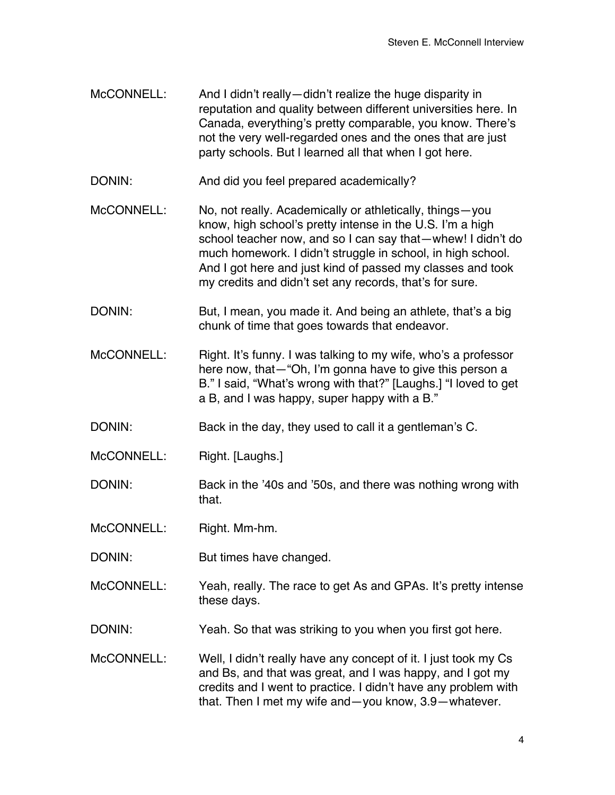- McCONNELL: And I didn't really—didn't realize the huge disparity in reputation and quality between different universities here. In Canada, everything's pretty comparable, you know. There's not the very well-regarded ones and the ones that are just party schools. But l learned all that when I got here.
- DONIN: And did you feel prepared academically?
- McCONNELL: No, not really. Academically or athletically, things—you know, high school's pretty intense in the U.S. I'm a high school teacher now, and so I can say that—whew! I didn't do much homework. I didn't struggle in school, in high school. And I got here and just kind of passed my classes and took my credits and didn't set any records, that's for sure.
- DONIN: But, I mean, you made it. And being an athlete, that's a big chunk of time that goes towards that endeavor.
- McCONNELL: Right. It's funny. I was talking to my wife, who's a professor here now, that—"Oh, I'm gonna have to give this person a B." I said, "What's wrong with that?" [Laughs.] "I loved to get a B, and I was happy, super happy with a B."
- DONIN: Back in the day, they used to call it a gentleman's C.
- McCONNELL: Right. [Laughs.]
- DONIN: Back in the '40s and '50s, and there was nothing wrong with that.
- McCONNELL: Right. Mm-hm.
- DONIN: But times have changed.
- McCONNELL: Yeah, really. The race to get As and GPAs. It's pretty intense these days.
- DONIN: Yeah. So that was striking to you when you first got here.
- McCONNELL: Well, I didn't really have any concept of it. I just took my Cs and Bs, and that was great, and I was happy, and I got my credits and I went to practice. I didn't have any problem with that. Then I met my wife and—you know, 3.9—whatever.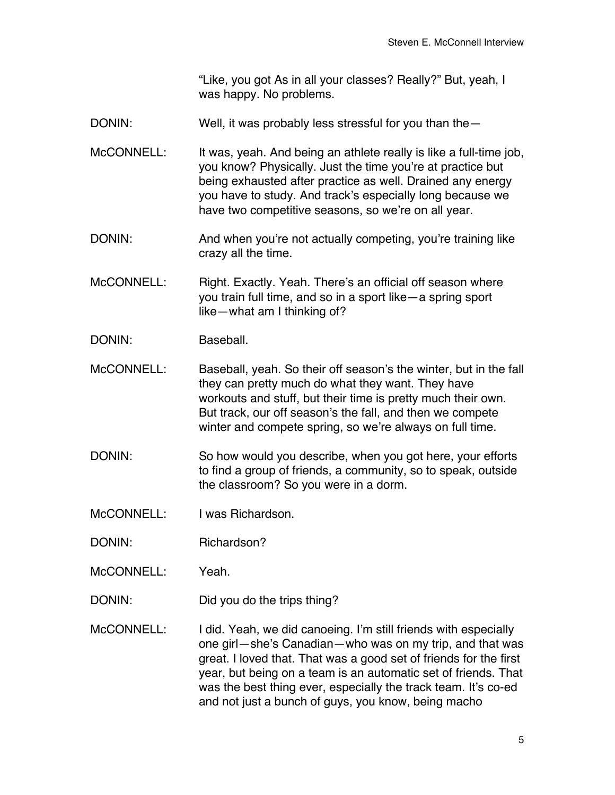"Like, you got As in all your classes? Really?" But, yeah, I was happy. No problems.

DONIN: Well, it was probably less stressful for you than the

McCONNELL: It was, yeah. And being an athlete really is like a full-time job, you know? Physically. Just the time you're at practice but being exhausted after practice as well. Drained any energy you have to study. And track's especially long because we have two competitive seasons, so we're on all year.

DONIN: And when you're not actually competing, you're training like crazy all the time.

McCONNELL: Right. Exactly. Yeah. There's an official off season where you train full time, and so in a sport like—a spring sport like—what am I thinking of?

- DONIN: Baseball.
- McCONNELL: Baseball, yeah. So their off season's the winter, but in the fall they can pretty much do what they want. They have workouts and stuff, but their time is pretty much their own. But track, our off season's the fall, and then we compete winter and compete spring, so we're always on full time.
- DONIN: So how would you describe, when you got here, your efforts to find a group of friends, a community, so to speak, outside the classroom? So you were in a dorm.
- McCONNELL: I was Richardson.
- DONIN: Richardson?
- McCONNELL: Yeah.
- DONIN: Did you do the trips thing?
- McCONNELL: I did. Yeah, we did canoeing. I'm still friends with especially one girl—she's Canadian—who was on my trip, and that was great. I loved that. That was a good set of friends for the first year, but being on a team is an automatic set of friends. That was the best thing ever, especially the track team. It's co-ed and not just a bunch of guys, you know, being macho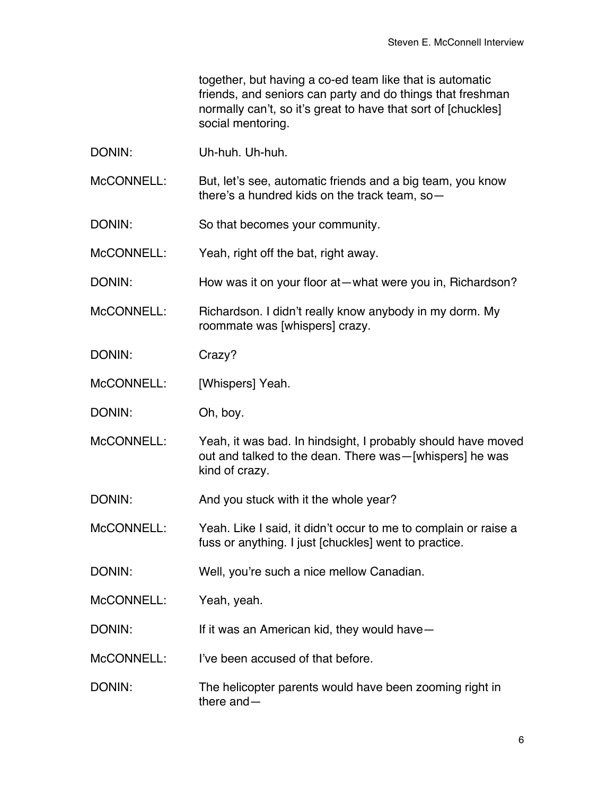together, but having a co-ed team like that is automatic friends, and seniors can party and do things that freshman normally can't, so it's great to have that sort of [chuckles] social mentoring.

DONIN: Uh-huh. Uh-huh.

McCONNELL: But, let's see, automatic friends and a big team, you know there's a hundred kids on the track team, so—

DONIN: So that becomes your community.

McCONNELL: Yeah, right off the bat, right away.

DONIN: How was it on your floor at—what were you in, Richardson?

McCONNELL: Richardson. I didn't really know anybody in my dorm. My roommate was [whispers] crazy.

DONIN: Crazy?

McCONNELL: [Whispers] Yeah.

DONIN: Oh, boy.

McCONNELL: Yeah, it was bad. In hindsight, I probably should have moved out and talked to the dean. There was—[whispers] he was kind of crazy.

DONIN: And you stuck with it the whole year?

McCONNELL: Yeah. Like I said, it didn't occur to me to complain or raise a fuss or anything. I just [chuckles] went to practice.

DONIN: Well, you're such a nice mellow Canadian.

McCONNELL: Yeah, yeah.

DONIN: If it was an American kid, they would have—

McCONNELL: I've been accused of that before.

DONIN: The helicopter parents would have been zooming right in there and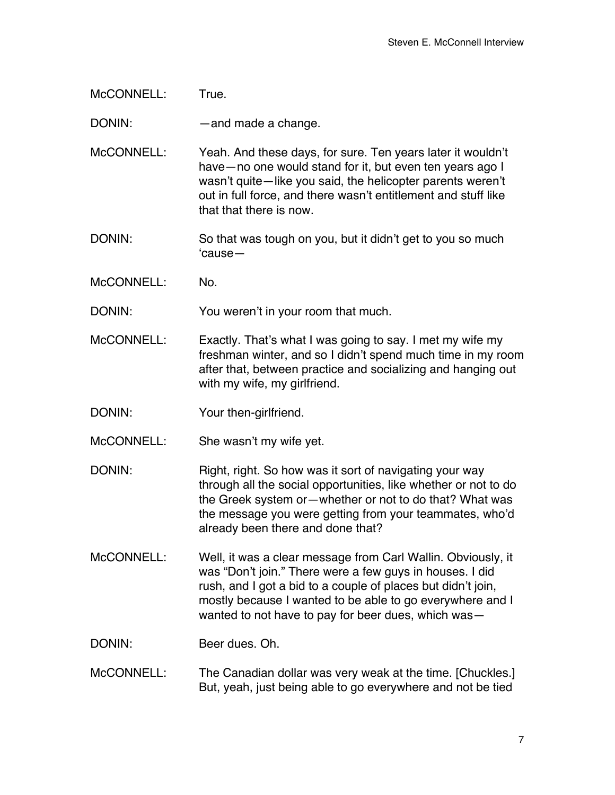McCONNELL: True.

DONIN: — — and made a change.

McCONNELL: Yeah. And these days, for sure. Ten years later it wouldn't have—no one would stand for it, but even ten years ago I wasn't quite—like you said, the helicopter parents weren't out in full force, and there wasn't entitlement and stuff like that that there is now.

DONIN: So that was tough on you, but it didn't get to you so much 'cause—

McCONNELL: No.

DONIN: You weren't in your room that much.

McCONNELL: Exactly. That's what I was going to say. I met my wife my freshman winter, and so I didn't spend much time in my room after that, between practice and socializing and hanging out with my wife, my girlfriend.

- DONIN: Your then-girlfriend.
- McCONNELL: She wasn't my wife yet.
- DONIN: Right, right. So how was it sort of navigating your way through all the social opportunities, like whether or not to do the Greek system or—whether or not to do that? What was the message you were getting from your teammates, who'd already been there and done that?
- McCONNELL: Well, it was a clear message from Carl Wallin. Obviously, it was "Don't join." There were a few guys in houses. I did rush, and I got a bid to a couple of places but didn't join, mostly because I wanted to be able to go everywhere and I wanted to not have to pay for beer dues, which was—

DONIN: Beer dues. Oh.

## McCONNELL: The Canadian dollar was very weak at the time. [Chuckles.] But, yeah, just being able to go everywhere and not be tied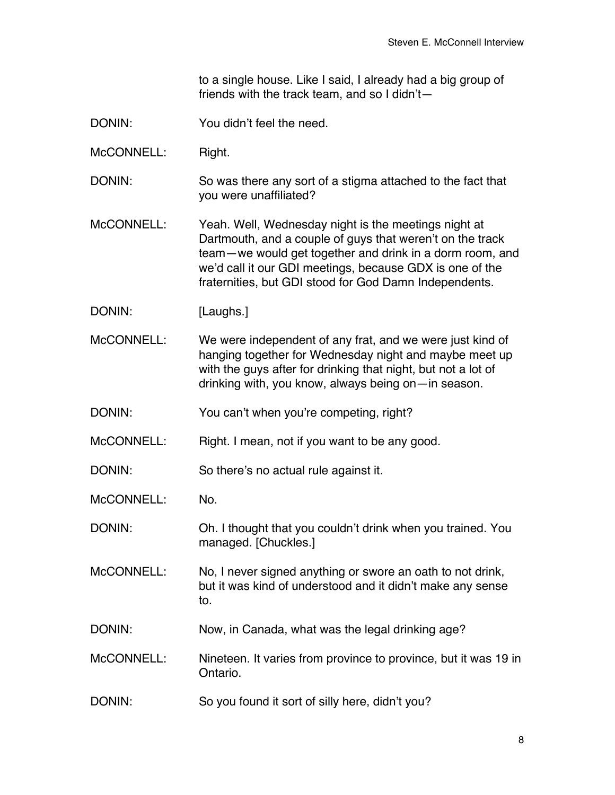to a single house. Like I said, I already had a big group of friends with the track team, and so I didn't—

- DONIN: You didn't feel the need.
- McCONNELL: Right.
- DONIN: So was there any sort of a stigma attached to the fact that you were unaffiliated?
- McCONNELL: Yeah. Well, Wednesday night is the meetings night at Dartmouth, and a couple of guys that weren't on the track team—we would get together and drink in a dorm room, and we'd call it our GDI meetings, because GDX is one of the fraternities, but GDI stood for God Damn Independents.
- DONIN: [Laughs.]
- McCONNELL: We were independent of any frat, and we were just kind of hanging together for Wednesday night and maybe meet up with the guys after for drinking that night, but not a lot of drinking with, you know, always being on—in season.
- DONIN: You can't when you're competing, right?
- McCONNELL: Right. I mean, not if you want to be any good.
- DONIN: So there's no actual rule against it.
- McCONNELL: No.
- DONIN: Oh. I thought that you couldn't drink when you trained. You managed. [Chuckles.]
- McCONNELL: No, I never signed anything or swore an oath to not drink, but it was kind of understood and it didn't make any sense to.
- DONIN: Now, in Canada, what was the legal drinking age?
- McCONNELL: Nineteen. It varies from province to province, but it was 19 in Ontario.
- DONIN: So you found it sort of silly here, didn't you?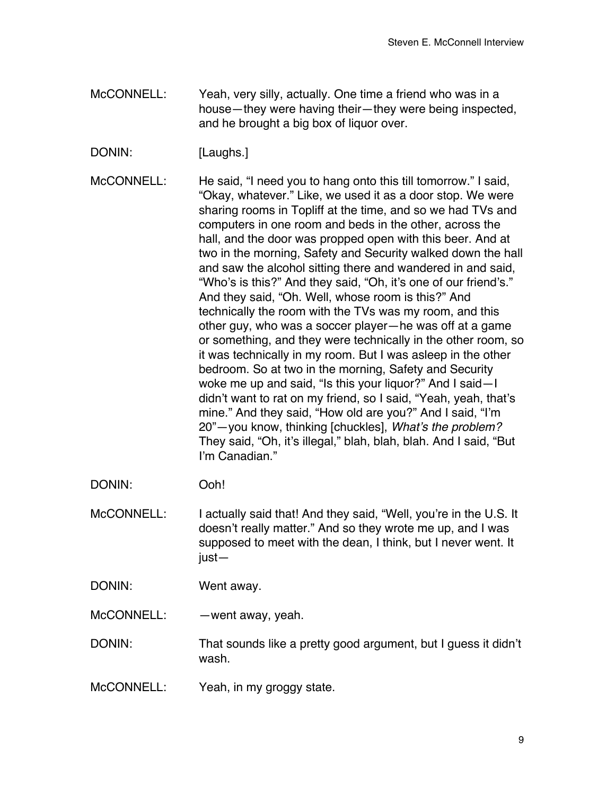- McCONNELL: Yeah, very silly, actually. One time a friend who was in a house—they were having their—they were being inspected, and he brought a big box of liquor over.
- DONIN: [Laughs.]
- McCONNELL: He said, "I need you to hang onto this till tomorrow." I said, "Okay, whatever." Like, we used it as a door stop. We were sharing rooms in Topliff at the time, and so we had TVs and computers in one room and beds in the other, across the hall, and the door was propped open with this beer. And at two in the morning, Safety and Security walked down the hall and saw the alcohol sitting there and wandered in and said, "Who's is this?" And they said, "Oh, it's one of our friend's." And they said, "Oh. Well, whose room is this?" And technically the room with the TVs was my room, and this other guy, who was a soccer player—he was off at a game or something, and they were technically in the other room, so it was technically in my room. But I was asleep in the other bedroom. So at two in the morning, Safety and Security woke me up and said, "Is this your liquor?" And I said—I didn't want to rat on my friend, so I said, "Yeah, yeah, that's mine." And they said, "How old are you?" And I said, "I'm 20"—you know, thinking [chuckles], *What's the problem?*  They said, "Oh, it's illegal," blah, blah, blah. And I said, "But I'm Canadian."
- DONIN: Ooh!
- McCONNELL: I actually said that! And they said, "Well, you're in the U.S. It doesn't really matter." And so they wrote me up, and I was supposed to meet with the dean, I think, but I never went. It just—
- DONIN: Went away.
- $McCONNEL:$  —went away, yeah.
- DONIN: That sounds like a pretty good argument, but I guess it didn't wash.
- McCONNELL: Yeah, in my groggy state.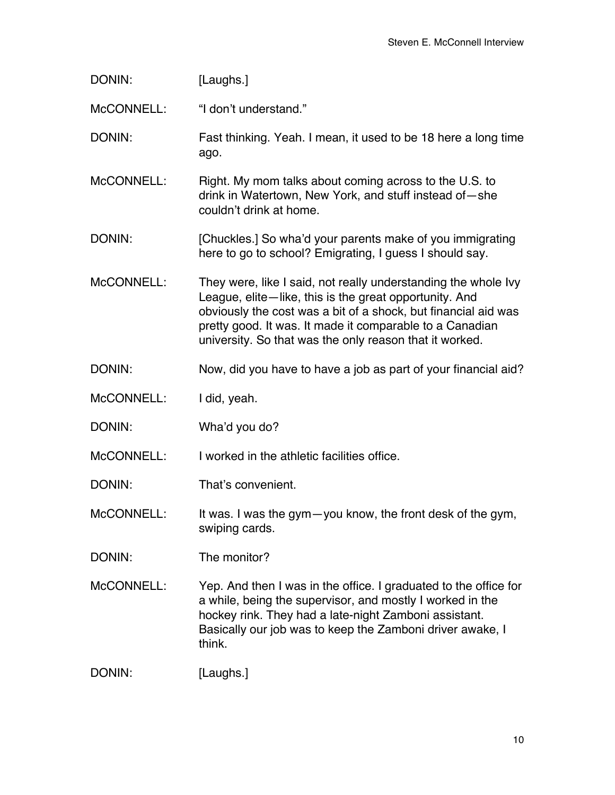| DONIN:     | [Laughs.]                                                                                                                                                                                                                                                                                                         |
|------------|-------------------------------------------------------------------------------------------------------------------------------------------------------------------------------------------------------------------------------------------------------------------------------------------------------------------|
| McCONNELL: | "I don't understand."                                                                                                                                                                                                                                                                                             |
| DONIN:     | Fast thinking. Yeah. I mean, it used to be 18 here a long time<br>ago.                                                                                                                                                                                                                                            |
| McCONNELL: | Right. My mom talks about coming across to the U.S. to<br>drink in Watertown, New York, and stuff instead of-she<br>couldn't drink at home.                                                                                                                                                                       |
| DONIN:     | [Chuckles.] So wha'd your parents make of you immigrating<br>here to go to school? Emigrating, I guess I should say.                                                                                                                                                                                              |
| McCONNELL: | They were, like I said, not really understanding the whole Ivy<br>League, elite-like, this is the great opportunity. And<br>obviously the cost was a bit of a shock, but financial aid was<br>pretty good. It was. It made it comparable to a Canadian<br>university. So that was the only reason that it worked. |
| DONIN:     | Now, did you have to have a job as part of your financial aid?                                                                                                                                                                                                                                                    |
| McCONNELL: | I did, yeah.                                                                                                                                                                                                                                                                                                      |
| DONIN:     | Wha'd you do?                                                                                                                                                                                                                                                                                                     |
| McCONNELL: | I worked in the athletic facilities office.                                                                                                                                                                                                                                                                       |
| DONIN:     | That's convenient.                                                                                                                                                                                                                                                                                                |
| McCONNELL: | It was. I was the gym-you know, the front desk of the gym,<br>swiping cards.                                                                                                                                                                                                                                      |
| DONIN:     | The monitor?                                                                                                                                                                                                                                                                                                      |
| McCONNELL: | Yep. And then I was in the office. I graduated to the office for<br>a while, being the supervisor, and mostly I worked in the<br>hockey rink. They had a late-night Zamboni assistant.<br>Basically our job was to keep the Zamboni driver awake, I<br>think.                                                     |
|            |                                                                                                                                                                                                                                                                                                                   |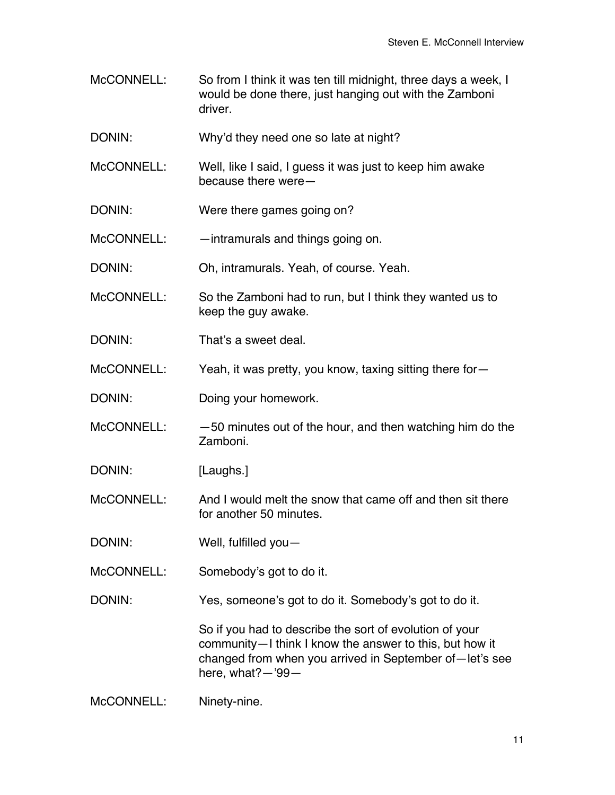- McCONNELL: So from I think it was ten till midnight, three days a week, I would be done there, just hanging out with the Zamboni driver.
- DONIN: Why'd they need one so late at night?
- McCONNELL: Well, like I said, I guess it was just to keep him awake because there were—
- DONIN: Were there games going on?
- McCONNELL: —intramurals and things going on.
- DONIN: Oh, intramurals. Yeah, of course. Yeah.
- McCONNELL: So the Zamboni had to run, but I think they wanted us to keep the guy awake.
- DONIN: That's a sweet deal.
- McCONNELL: Yeah, it was pretty, you know, taxing sitting there for-
- DONIN: Doing your homework.
- $McCONNEL:  $-50$  minutes out of the hour, and then watching him do the$ Zamboni.
- DONIN: [Laughs.]
- McCONNELL: And I would melt the snow that came off and then sit there for another 50 minutes.
- DONIN: Well, fulfilled you-
- McCONNELL: Somebody's got to do it.
- DONIN: Yes, someone's got to do it. Somebody's got to do it.

So if you had to describe the sort of evolution of your community—I think I know the answer to this, but how it changed from when you arrived in September of—let's see here, what?—'99—

McCONNELL: Ninety-nine.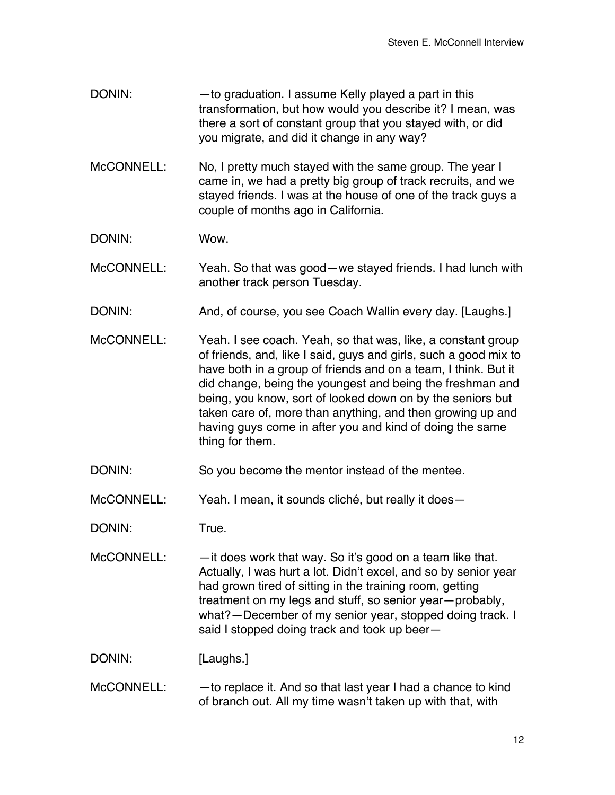- DONIN: — to graduation. I assume Kelly played a part in this transformation, but how would you describe it? I mean, was there a sort of constant group that you stayed with, or did you migrate, and did it change in any way?
- McCONNELL: No, I pretty much stayed with the same group. The year I came in, we had a pretty big group of track recruits, and we stayed friends. I was at the house of one of the track guys a couple of months ago in California.

DONIN: Wow.

McCONNELL: Yeah. So that was good—we stayed friends. I had lunch with another track person Tuesday.

- DONIN: And, of course, you see Coach Wallin every day. [Laughs.]
- McCONNELL: Yeah. I see coach. Yeah, so that was, like, a constant group of friends, and, like I said, guys and girls, such a good mix to have both in a group of friends and on a team, I think. But it did change, being the youngest and being the freshman and being, you know, sort of looked down on by the seniors but taken care of, more than anything, and then growing up and having guys come in after you and kind of doing the same thing for them.

DONIN: So you become the mentor instead of the mentee.

McCONNELL: Yeah. I mean, it sounds cliché, but really it does—

DONIN: True.

McCONNELL: — —it does work that way. So it's good on a team like that. Actually, I was hurt a lot. Didn't excel, and so by senior year had grown tired of sitting in the training room, getting treatment on my legs and stuff, so senior year—probably, what?—December of my senior year, stopped doing track. I said I stopped doing track and took up beer—

DONIN: [Laughs.]

McCONNELL: - - to replace it. And so that last year I had a chance to kind of branch out. All my time wasn't taken up with that, with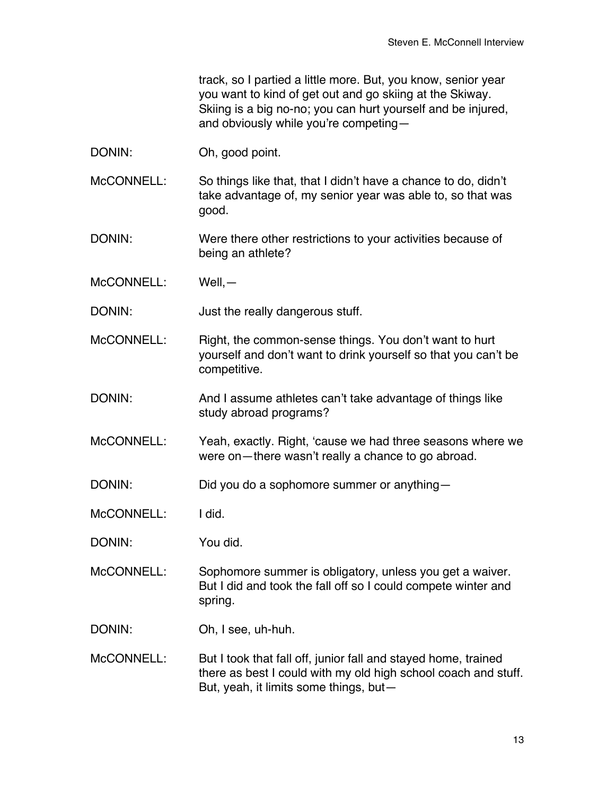track, so I partied a little more. But, you know, senior year you want to kind of get out and go skiing at the Skiway. Skiing is a big no-no; you can hurt yourself and be injured, and obviously while you're competing—

DONIN: Oh, good point.

McCONNELL: So things like that, that I didn't have a chance to do, didn't take advantage of, my senior year was able to, so that was good.

- DONIN: Were there other restrictions to your activities because of being an athlete?
- McCONNELL: Well,—

DONIN: Just the really dangerous stuff.

- McCONNELL: Right, the common-sense things. You don't want to hurt yourself and don't want to drink yourself so that you can't be competitive.
- DONIN: And I assume athletes can't take advantage of things like study abroad programs?
- McCONNELL: Yeah, exactly. Right, 'cause we had three seasons where we were on—there wasn't really a chance to go abroad.
- DONIN: Did you do a sophomore summer or anything-

McCONNELL: I did.

DONIN: You did.

McCONNELL: Sophomore summer is obligatory, unless you get a waiver. But I did and took the fall off so I could compete winter and spring.

- DONIN: Oh, I see, uh-huh.
- McCONNELL: But I took that fall off, junior fall and stayed home, trained there as best I could with my old high school coach and stuff. But, yeah, it limits some things, but—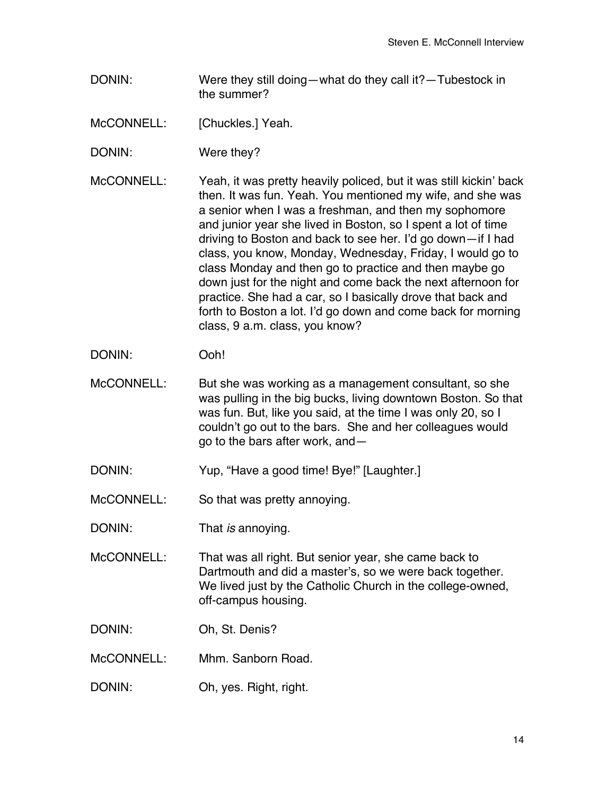DONIN: Were they still doing—what do they call it?—Tubestock in the summer?

McCONNELL: [Chuckles.] Yeah.

- DONIN: Were they?
- McCONNELL: Yeah, it was pretty heavily policed, but it was still kickin' back then. It was fun. Yeah. You mentioned my wife, and she was a senior when I was a freshman, and then my sophomore and junior year she lived in Boston, so I spent a lot of time driving to Boston and back to see her. I'd go down—if I had class, you know, Monday, Wednesday, Friday, I would go to class Monday and then go to practice and then maybe go down just for the night and come back the next afternoon for practice. She had a car, so I basically drove that back and forth to Boston a lot. I'd go down and come back for morning class, 9 a.m. class, you know?
- DONIN: Ooh!
- McCONNELL: But she was working as a management consultant, so she was pulling in the big bucks, living downtown Boston. So that was fun. But, like you said, at the time I was only 20, so I couldn't go out to the bars. She and her colleagues would go to the bars after work, and—
- DONIN: Yup, "Have a good time! Bye!" [Laughter.]
- McCONNELL: So that was pretty annoying.
- DONIN: That *is* annoying.
- McCONNELL: That was all right. But senior year, she came back to Dartmouth and did a master's, so we were back together. We lived just by the Catholic Church in the college-owned, off-campus housing.
- DONIN: Oh, St. Denis?
- McCONNELL: Mhm. Sanborn Road.
- DONIN: Oh, yes. Right, right.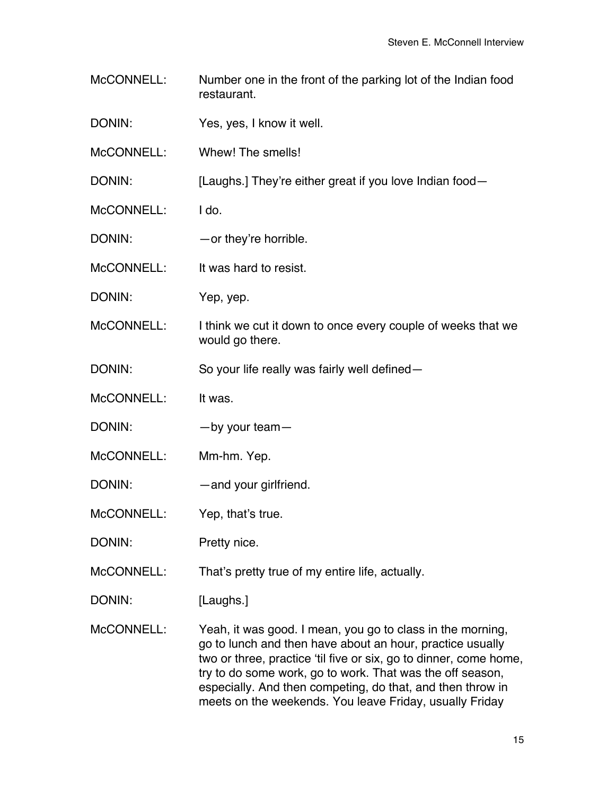- McCONNELL: Number one in the front of the parking lot of the Indian food restaurant.
- DONIN: Yes, yes, I know it well.
- McCONNELL: Whew! The smells!

DONIN: [Laughs.] They're either great if you love Indian food-

- McCONNELL: I do.
- DONIN: — or they're horrible.
- McCONNELL: It was hard to resist.
- DONIN: Yep, yep.
- McCONNELL: I think we cut it down to once every couple of weeks that we would go there.
- DONIN: So your life really was fairly well defined—
- McCONNELL: It was.
- DONIN: by your team-
- McCONNELL: Mm-hm. Yep.
- DONIN: — and your girlfriend.
- McCONNELL: Yep, that's true.
- DONIN: Pretty nice.
- McCONNELL: That's pretty true of my entire life, actually.
- DONIN: [Laughs.]
- McCONNELL: Yeah, it was good. I mean, you go to class in the morning, go to lunch and then have about an hour, practice usually two or three, practice 'til five or six, go to dinner, come home, try to do some work, go to work. That was the off season, especially. And then competing, do that, and then throw in meets on the weekends. You leave Friday, usually Friday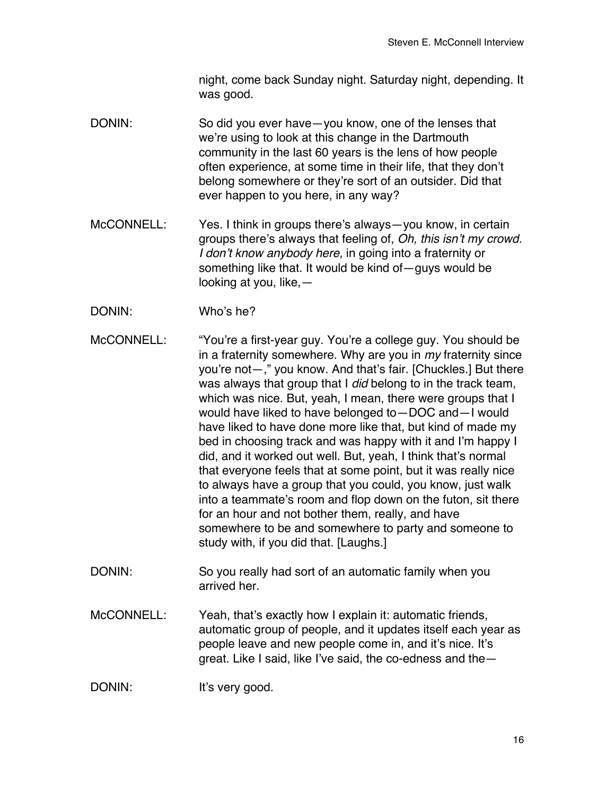night, come back Sunday night. Saturday night, depending. It was good.

- DONIN: So did you ever have—you know, one of the lenses that we're using to look at this change in the Dartmouth community in the last 60 years is the lens of how people often experience, at some time in their life, that they don't belong somewhere or they're sort of an outsider. Did that ever happen to you here, in any way?
- McCONNELL: Yes. I think in groups there's always—you know, in certain groups there's always that feeling of, *Oh, this isn't my crowd. I don't know anybody here,* in going into a fraternity or something like that. It would be kind of—guys would be looking at you, like,—
- DONIN: Who's he?
- McCONNELL: "You're a first-year guy. You're a college guy. You should be in a fraternity somewhere. Why are you in *my* fraternity since you're not—," you know. And that's fair. [Chuckles.] But there was always that group that I *did* belong to in the track team, which was nice. But, yeah, I mean, there were groups that I would have liked to have belonged to—DOC and—I would have liked to have done more like that, but kind of made my bed in choosing track and was happy with it and I'm happy I did, and it worked out well. But, yeah, I think that's normal that everyone feels that at some point, but it was really nice to always have a group that you could, you know, just walk into a teammate's room and flop down on the futon, sit there for an hour and not bother them, really, and have somewhere to be and somewhere to party and someone to study with, if you did that. [Laughs.]
- DONIN: So you really had sort of an automatic family when you arrived her.
- McCONNELL: Yeah, that's exactly how I explain it: automatic friends, automatic group of people, and it updates itself each year as people leave and new people come in, and it's nice. It's great. Like I said, like I've said, the co-edness and the—

DONIN: It's very good.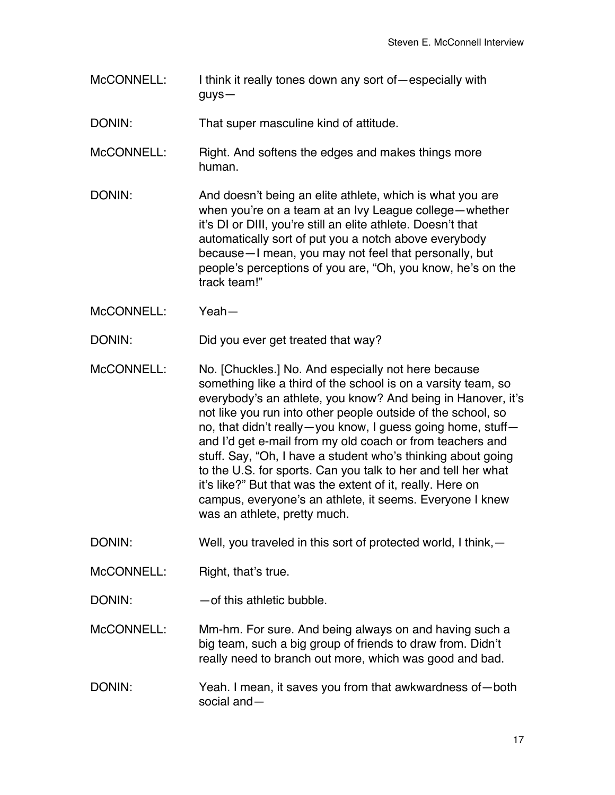McCONNELL: I think it really tones down any sort of—especially with guys—

DONIN: That super masculine kind of attitude.

- McCONNELL: Right. And softens the edges and makes things more human.
- DONIN: And doesn't being an elite athlete, which is what you are when you're on a team at an Ivy League college—whether it's DI or DIII, you're still an elite athlete. Doesn't that automatically sort of put you a notch above everybody because—I mean, you may not feel that personally, but people's perceptions of you are, "Oh, you know, he's on the track team!"
- McCONNELL: Yeah—

DONIN: Did you ever get treated that way?

- McCONNELL: No. [Chuckles.] No. And especially not here because something like a third of the school is on a varsity team, so everybody's an athlete, you know? And being in Hanover, it's not like you run into other people outside of the school, so no, that didn't really—you know, I guess going home, stuff and I'd get e-mail from my old coach or from teachers and stuff. Say, "Oh, I have a student who's thinking about going to the U.S. for sports. Can you talk to her and tell her what it's like?" But that was the extent of it, really. Here on campus, everyone's an athlete, it seems. Everyone I knew was an athlete, pretty much.
- DONIN: Well, you traveled in this sort of protected world, I think, -
- McCONNELL: Right, that's true.

DONIN: — — of this athletic bubble.

- McCONNELL: Mm-hm. For sure. And being always on and having such a big team, such a big group of friends to draw from. Didn't really need to branch out more, which was good and bad.
- DONIN: Yeah. I mean, it saves you from that awkwardness of—both social and—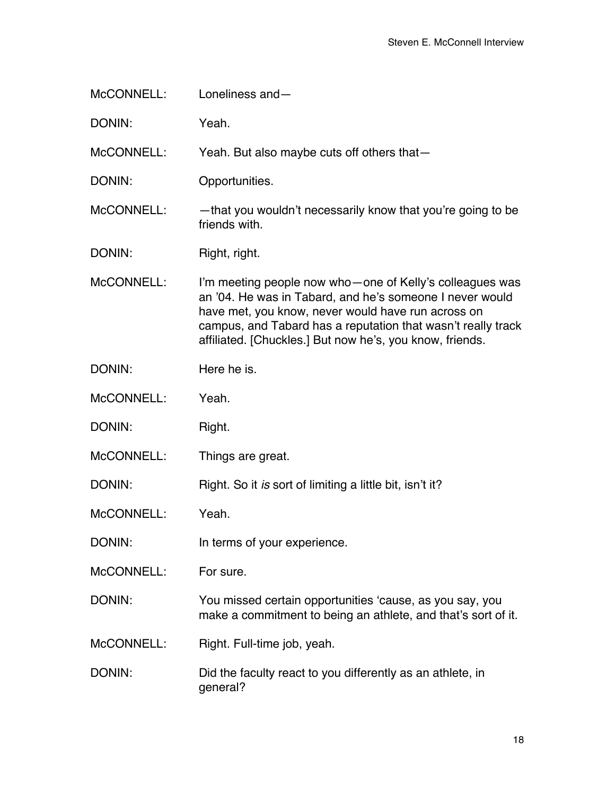| McCONNELL: | Loneliness and-                                                                                                                                                                                                                                                                                        |
|------------|--------------------------------------------------------------------------------------------------------------------------------------------------------------------------------------------------------------------------------------------------------------------------------------------------------|
| DONIN:     | Yeah.                                                                                                                                                                                                                                                                                                  |
| McCONNELL: | Yeah. But also maybe cuts off others that-                                                                                                                                                                                                                                                             |
| DONIN:     | Opportunities.                                                                                                                                                                                                                                                                                         |
| McCONNELL: | -that you wouldn't necessarily know that you're going to be<br>friends with.                                                                                                                                                                                                                           |
| DONIN:     | Right, right.                                                                                                                                                                                                                                                                                          |
| McCONNELL: | I'm meeting people now who-one of Kelly's colleagues was<br>an '04. He was in Tabard, and he's someone I never would<br>have met, you know, never would have run across on<br>campus, and Tabard has a reputation that wasn't really track<br>affiliated. [Chuckles.] But now he's, you know, friends. |
| DONIN:     | Here he is.                                                                                                                                                                                                                                                                                            |
| McCONNELL: | Yeah.                                                                                                                                                                                                                                                                                                  |
| DONIN:     | Right.                                                                                                                                                                                                                                                                                                 |
| McCONNELL: | Things are great.                                                                                                                                                                                                                                                                                      |
| DONIN:     | Right. So it is sort of limiting a little bit, isn't it?                                                                                                                                                                                                                                               |
| McCONNELL: | Yeah.                                                                                                                                                                                                                                                                                                  |
| DONIN:     | In terms of your experience.                                                                                                                                                                                                                                                                           |
| McCONNELL: | For sure.                                                                                                                                                                                                                                                                                              |
| DONIN:     | You missed certain opportunities 'cause, as you say, you<br>make a commitment to being an athlete, and that's sort of it.                                                                                                                                                                              |
| McCONNELL: | Right. Full-time job, yeah.                                                                                                                                                                                                                                                                            |
| DONIN:     | Did the faculty react to you differently as an athlete, in<br>general?                                                                                                                                                                                                                                 |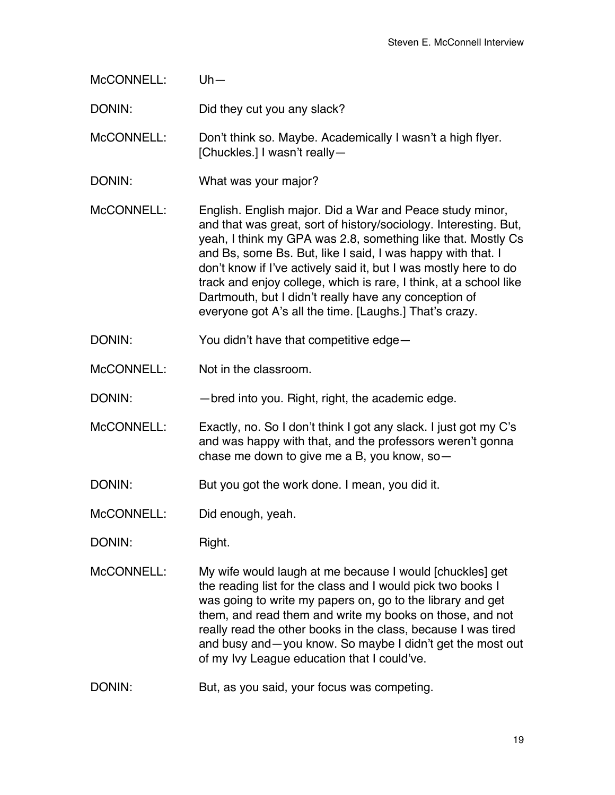| McCONNELL: | $Uh -$                                                                                                                                                                                                                                                                                                                                                                                                                                                                                                                  |
|------------|-------------------------------------------------------------------------------------------------------------------------------------------------------------------------------------------------------------------------------------------------------------------------------------------------------------------------------------------------------------------------------------------------------------------------------------------------------------------------------------------------------------------------|
| DONIN:     | Did they cut you any slack?                                                                                                                                                                                                                                                                                                                                                                                                                                                                                             |
| McCONNELL: | Don't think so. Maybe. Academically I wasn't a high flyer.<br>[Chuckles.] I wasn't really-                                                                                                                                                                                                                                                                                                                                                                                                                              |
| DONIN:     | What was your major?                                                                                                                                                                                                                                                                                                                                                                                                                                                                                                    |
| McCONNELL: | English. English major. Did a War and Peace study minor,<br>and that was great, sort of history/sociology. Interesting. But,<br>yeah, I think my GPA was 2.8, something like that. Mostly Cs<br>and Bs, some Bs. But, like I said, I was happy with that. I<br>don't know if I've actively said it, but I was mostly here to do<br>track and enjoy college, which is rare, I think, at a school like<br>Dartmouth, but I didn't really have any conception of<br>everyone got A's all the time. [Laughs.] That's crazy. |
| DONIN:     | You didn't have that competitive edge-                                                                                                                                                                                                                                                                                                                                                                                                                                                                                  |
| McCONNELL: | Not in the classroom.                                                                                                                                                                                                                                                                                                                                                                                                                                                                                                   |
| DONIN:     | -bred into you. Right, right, the academic edge.                                                                                                                                                                                                                                                                                                                                                                                                                                                                        |
| McCONNELL: | Exactly, no. So I don't think I got any slack. I just got my C's<br>and was happy with that, and the professors weren't gonna<br>chase me down to give me a B, you know, so-                                                                                                                                                                                                                                                                                                                                            |
| DONIN:     | But you got the work done. I mean, you did it.                                                                                                                                                                                                                                                                                                                                                                                                                                                                          |
| McCONNELL: | Did enough, yeah.                                                                                                                                                                                                                                                                                                                                                                                                                                                                                                       |
| DONIN:     | Right.                                                                                                                                                                                                                                                                                                                                                                                                                                                                                                                  |
| McCONNELL: | My wife would laugh at me because I would [chuckles] get<br>the reading list for the class and I would pick two books I<br>was going to write my papers on, go to the library and get<br>them, and read them and write my books on those, and not<br>really read the other books in the class, because I was tired<br>and busy and—you know. So maybe I didn't get the most out<br>of my Ivy League education that I could've.                                                                                          |
| DONIN:     | But, as you said, your focus was competing.                                                                                                                                                                                                                                                                                                                                                                                                                                                                             |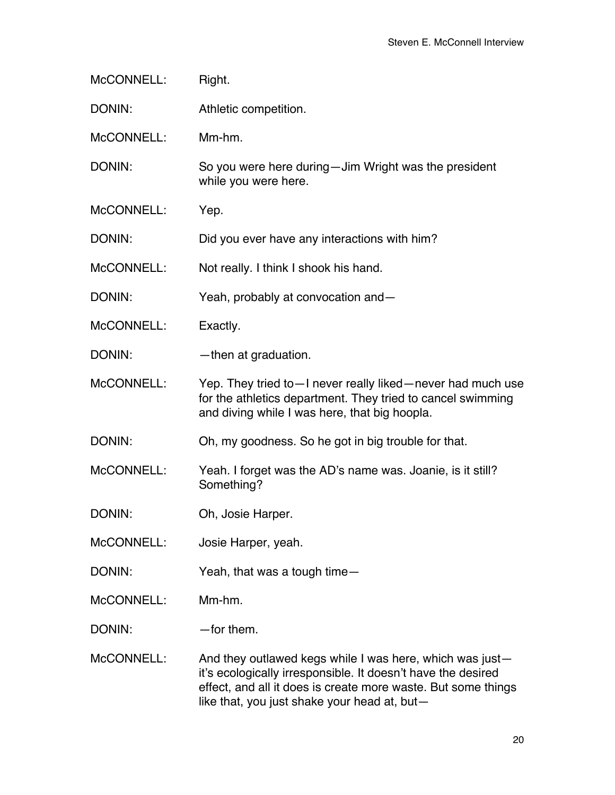| McCONNELL: | Right.                                                                                                                                                                                                                                    |
|------------|-------------------------------------------------------------------------------------------------------------------------------------------------------------------------------------------------------------------------------------------|
| DONIN:     | Athletic competition.                                                                                                                                                                                                                     |
| McCONNELL: | Mm-hm.                                                                                                                                                                                                                                    |
| DONIN:     | So you were here during—Jim Wright was the president<br>while you were here.                                                                                                                                                              |
| McCONNELL: | Yep.                                                                                                                                                                                                                                      |
| DONIN:     | Did you ever have any interactions with him?                                                                                                                                                                                              |
| McCONNELL: | Not really. I think I shook his hand.                                                                                                                                                                                                     |
| DONIN:     | Yeah, probably at convocation and-                                                                                                                                                                                                        |
| McCONNELL: | Exactly.                                                                                                                                                                                                                                  |
| DONIN:     | -then at graduation.                                                                                                                                                                                                                      |
| McCONNELL: | Yep. They tried to - I never really liked - never had much use<br>for the athletics department. They tried to cancel swimming<br>and diving while I was here, that big hoopla.                                                            |
| DONIN:     | Oh, my goodness. So he got in big trouble for that.                                                                                                                                                                                       |
| McCONNELL: | Yeah. I forget was the AD's name was. Joanie, is it still?<br>Something?                                                                                                                                                                  |
| DONIN:     | Oh, Josie Harper.                                                                                                                                                                                                                         |
| McCONNELL: | Josie Harper, yeah.                                                                                                                                                                                                                       |
| DONIN:     | Yeah, that was a tough time-                                                                                                                                                                                                              |
| McCONNELL: | Mm-hm.                                                                                                                                                                                                                                    |
| DONIN:     | -for them.                                                                                                                                                                                                                                |
| McCONNELL: | And they outlawed kegs while I was here, which was just-<br>it's ecologically irresponsible. It doesn't have the desired<br>effect, and all it does is create more waste. But some things<br>like that, you just shake your head at, but- |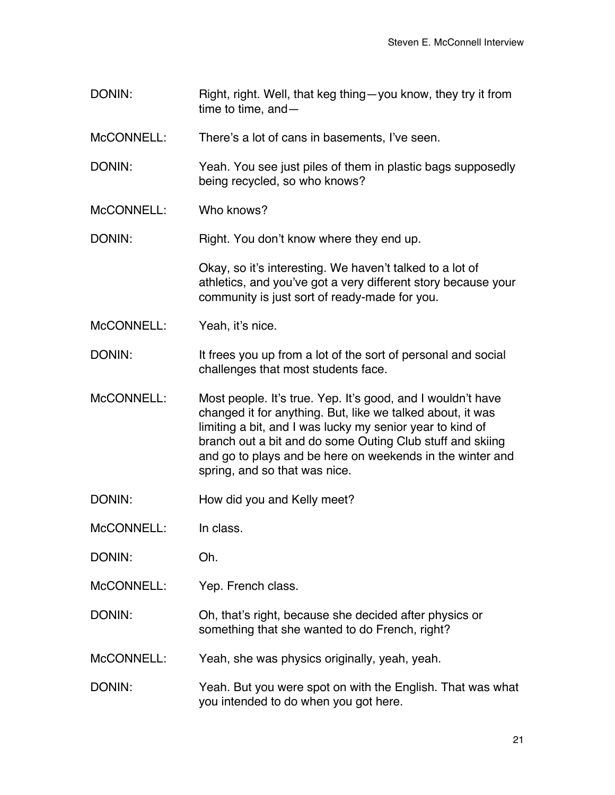DONIN: Right, right. Well, that keg thing—you know, they try it from time to time, and— McCONNELL: There's a lot of cans in basements, I've seen. DONIN: Yeah. You see just piles of them in plastic bags supposedly being recycled, so who knows? McCONNELL: Who knows? DONIN: Right. You don't know where they end up. Okay, so it's interesting. We haven't talked to a lot of athletics, and you've got a very different story because your community is just sort of ready-made for you. McCONNELL: Yeah, it's nice. DONIN: It frees you up from a lot of the sort of personal and social challenges that most students face. McCONNELL: Most people. It's true. Yep. It's good, and I wouldn't have changed it for anything. But, like we talked about, it was limiting a bit, and I was lucky my senior year to kind of branch out a bit and do some Outing Club stuff and skiing and go to plays and be here on weekends in the winter and spring, and so that was nice. DONIN: How did you and Kelly meet? McCONNELL: In class. DONIN: Oh. McCONNELL: Yep. French class. DONIN: Oh, that's right, because she decided after physics or something that she wanted to do French, right? McCONNELL: Yeah, she was physics originally, yeah, yeah. DONIN: Yeah. But you were spot on with the English. That was what you intended to do when you got here.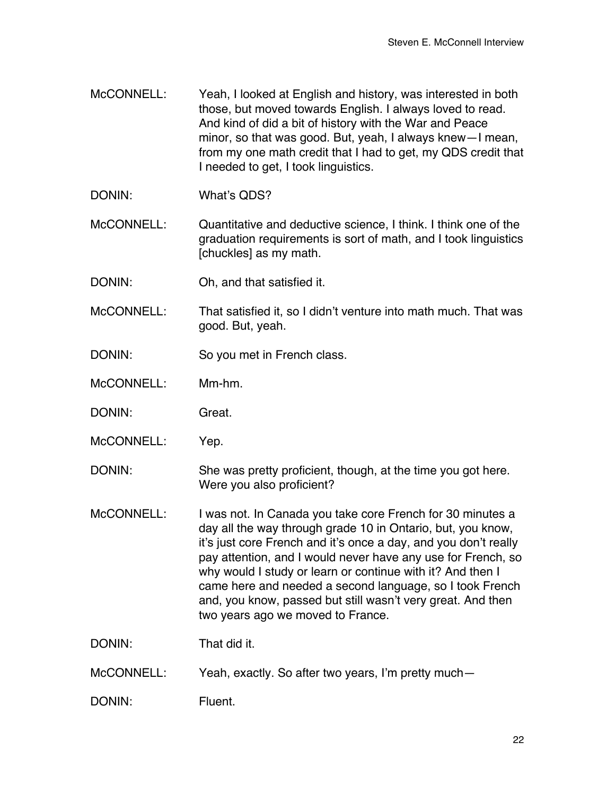- McCONNELL: Yeah, I looked at English and history, was interested in both those, but moved towards English. I always loved to read. And kind of did a bit of history with the War and Peace minor, so that was good. But, yeah, I always knew—I mean, from my one math credit that I had to get, my QDS credit that I needed to get, I took linguistics.
- DONIN: What's QDS?
- McCONNELL: Quantitative and deductive science, I think. I think one of the graduation requirements is sort of math, and I took linguistics [chuckles] as my math.
- DONIN: Oh, and that satisfied it.
- McCONNELL: That satisfied it, so I didn't venture into math much. That was good. But, yeah.
- DONIN: So you met in French class.
- McCONNELL: Mm-hm.
- DONIN: Great.
- McCONNELL: Yep.
- DONIN: She was pretty proficient, though, at the time you got here. Were you also proficient?
- McCONNELL: I was not. In Canada you take core French for 30 minutes a day all the way through grade 10 in Ontario, but, you know, it's just core French and it's once a day, and you don't really pay attention, and I would never have any use for French, so why would I study or learn or continue with it? And then I came here and needed a second language, so I took French and, you know, passed but still wasn't very great. And then two years ago we moved to France.
- DONIN: That did it.
- McCONNELL: Yeah, exactly. So after two years, I'm pretty much—
- DONIN: Fluent.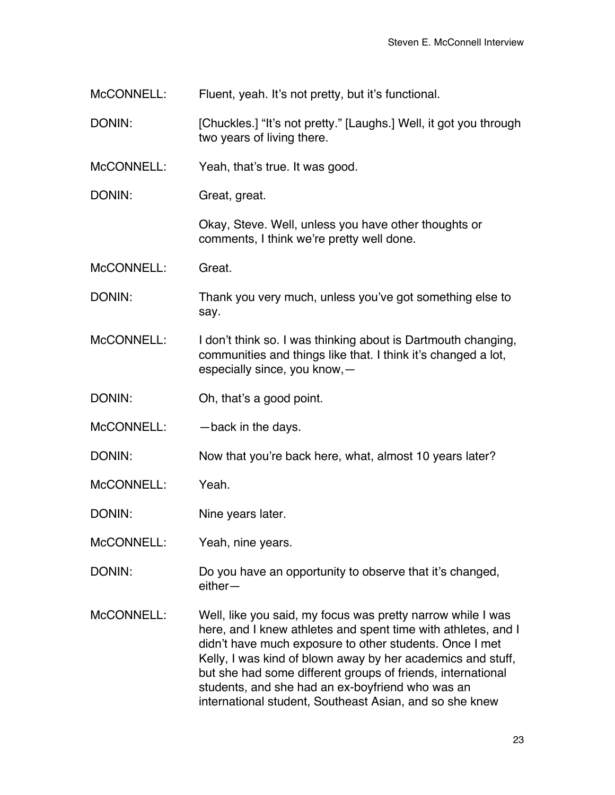McCONNELL: Fluent, yeah. It's not pretty, but it's functional.

DONIN: [Chuckles.] "It's not pretty." [Laughs.] Well, it got you through two years of living there.

McCONNELL: Yeah, that's true. It was good.

DONIN: Great, great.

Okay, Steve. Well, unless you have other thoughts or comments, I think we're pretty well done.

McCONNELL: Great.

DONIN: Thank you very much, unless you've got something else to say.

McCONNELL: I don't think so. I was thinking about is Dartmouth changing, communities and things like that. I think it's changed a lot, especially since, you know,—

DONIN: Oh, that's a good point.

 $McCONNEL:$  —back in the days.

DONIN: Now that you're back here, what, almost 10 years later?

McCONNELL: Yeah.

DONIN: Nine years later.

McCONNELL: Yeah, nine years.

DONIN: Do you have an opportunity to observe that it's changed, either—

McCONNELL: Well, like you said, my focus was pretty narrow while I was here, and I knew athletes and spent time with athletes, and I didn't have much exposure to other students. Once I met Kelly, I was kind of blown away by her academics and stuff, but she had some different groups of friends, international students, and she had an ex-boyfriend who was an international student, Southeast Asian, and so she knew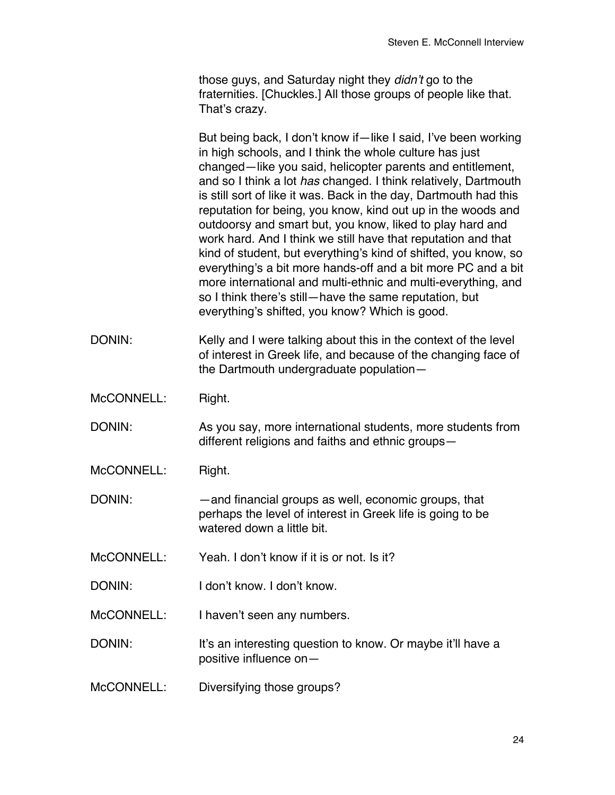those guys, and Saturday night they *didn't* go to the fraternities. [Chuckles.] All those groups of people like that. That's crazy.

But being back, I don't know if—like I said, I've been working in high schools, and I think the whole culture has just changed—like you said, helicopter parents and entitlement, and so I think a lot *has* changed. I think relatively, Dartmouth is still sort of like it was. Back in the day, Dartmouth had this reputation for being, you know, kind out up in the woods and outdoorsy and smart but, you know, liked to play hard and work hard. And I think we still have that reputation and that kind of student, but everything's kind of shifted, you know, so everything's a bit more hands-off and a bit more PC and a bit more international and multi-ethnic and multi-everything, and so I think there's still—have the same reputation, but everything's shifted, you know? Which is good.

- DONIN: Kelly and I were talking about this in the context of the level of interest in Greek life, and because of the changing face of the Dartmouth undergraduate population—
- McCONNELL: Right.
- DONIN: As you say, more international students, more students from different religions and faiths and ethnic groups—
- McCONNELL: Right.

DONIN: —and financial groups as well, economic groups, that perhaps the level of interest in Greek life is going to be watered down a little bit.

- McCONNELL: Yeah. I don't know if it is or not. Is it?
- DONIN: I don't know. I don't know.

McCONNELL: I haven't seen any numbers.

DONIN: It's an interesting question to know. Or maybe it'll have a positive influence on—

McCONNELL: Diversifying those groups?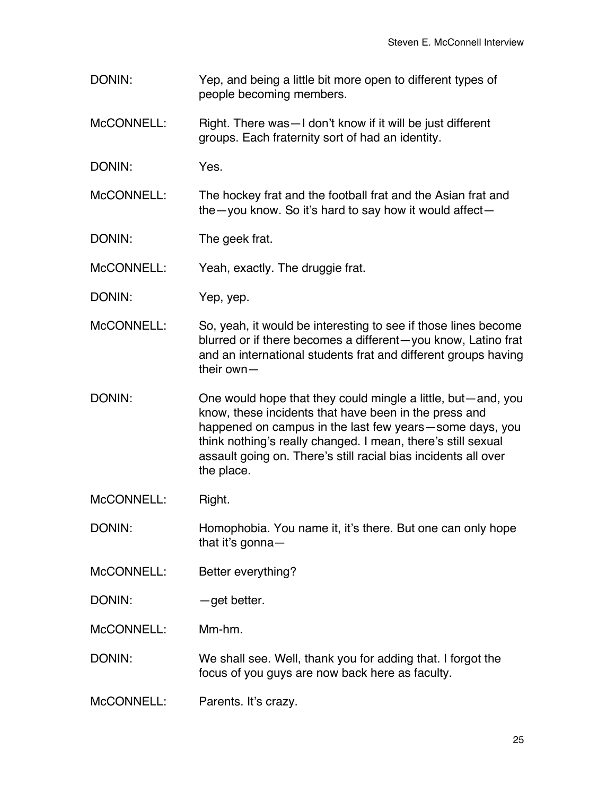DONIN: Yep, and being a little bit more open to different types of people becoming members.

McCONNELL: Right. There was - I don't know if it will be just different groups. Each fraternity sort of had an identity.

DONIN: Yes.

McCONNELL: The hockey frat and the football frat and the Asian frat and the—you know. So it's hard to say how it would affect—

DONIN: The geek frat.

McCONNELL: Yeah, exactly. The druggie frat.

DONIN: Yep, yep.

McCONNELL: So, yeah, it would be interesting to see if those lines become blurred or if there becomes a different—you know, Latino frat and an international students frat and different groups having their own—

DONIN: One would hope that they could mingle a little, but—and, you know, these incidents that have been in the press and happened on campus in the last few years—some days, you think nothing's really changed. I mean, there's still sexual assault going on. There's still racial bias incidents all over the place.

McCONNELL: Right.

DONIN: Homophobia. You name it, it's there. But one can only hope that it's gonna—

- McCONNELL: Better everything?
- DONIN:  $-\text{get better}.$

McCONNELL: Mm-hm.

DONIN: We shall see. Well, thank you for adding that. I forgot the focus of you guys are now back here as faculty.

McCONNELL: Parents. It's crazy.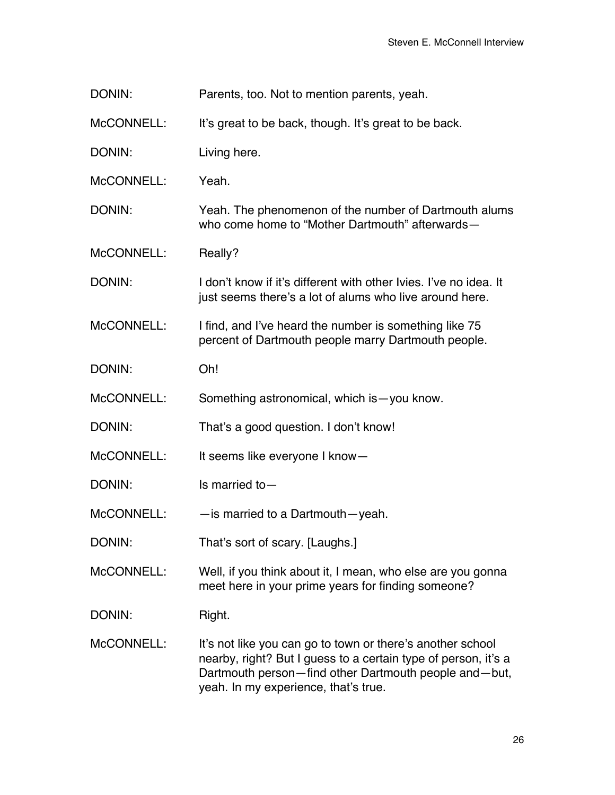DONIN: Parents, too. Not to mention parents, yeah.

McCONNELL: It's great to be back, though. It's great to be back.

DONIN: Living here.

McCONNELL: Yeah.

DONIN: Yeah. The phenomenon of the number of Dartmouth alums who come home to "Mother Dartmouth" afterwards—

McCONNELL: Really?

DONIN: I don't know if it's different with other Ivies. I've no idea. It just seems there's a lot of alums who live around here.

McCONNELL: I find, and I've heard the number is something like 75 percent of Dartmouth people marry Dartmouth people.

DONIN: Oh!

McCONNELL: Something astronomical, which is—you know.

DONIN: That's a good question. I don't know!

McCONNELL: It seems like everyone I know-

DONIN: Is married to —

McCONNELL: — — is married to a Dartmouth—yeah.

DONIN: That's sort of scary. [Laughs.]

McCONNELL: Well, if you think about it, I mean, who else are you gonna meet here in your prime years for finding someone?

DONIN: Right.

McCONNELL: It's not like you can go to town or there's another school nearby, right? But I guess to a certain type of person, it's a Dartmouth person—find other Dartmouth people and—but, yeah. In my experience, that's true.